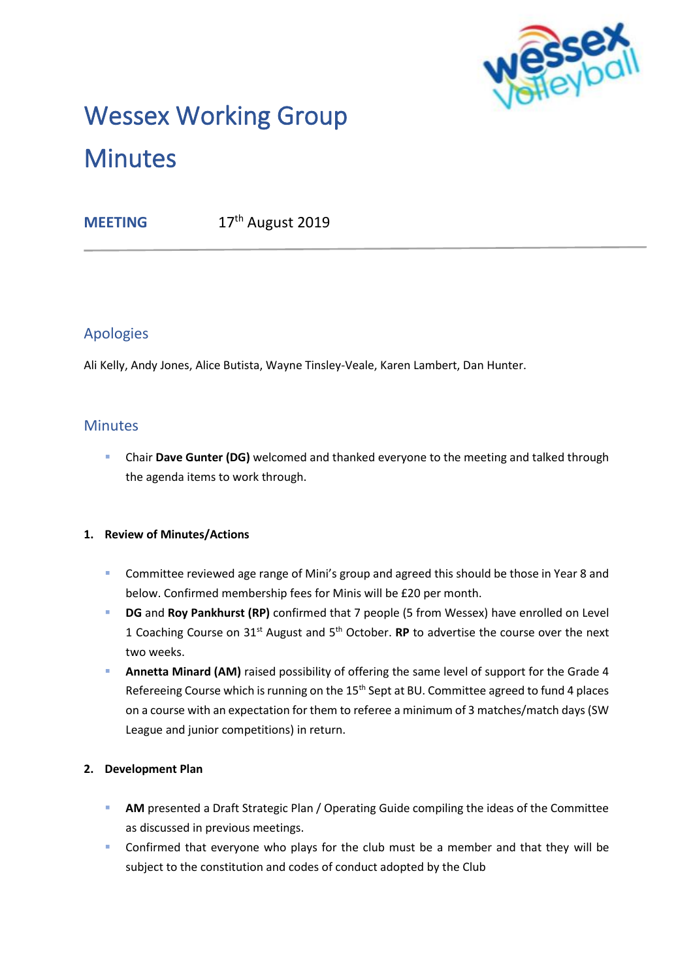

# Wessex Working Group **Minutes**

**MEETING** 17<sup>th</sup> August 2019

# Apologies

Ali Kelly, Andy Jones, Alice Butista, Wayne Tinsley-Veale, Karen Lambert, Dan Hunter.

## **Minutes**

▪ Chair **Dave Gunter (DG)** welcomed and thanked everyone to the meeting and talked through the agenda items to work through.

## **1. Review of Minutes/Actions**

- Committee reviewed age range of Mini's group and agreed this should be those in Year 8 and below. Confirmed membership fees for Minis will be £20 per month.
- **DG** and **Roy Pankhurst (RP)** confirmed that 7 people (5 from Wessex) have enrolled on Level 1 Coaching Course on 31st August and 5th October. **RP** to advertise the course over the next two weeks.
- **Annetta Minard (AM)** raised possibility of offering the same level of support for the Grade 4 Refereeing Course which is running on the 15<sup>th</sup> Sept at BU. Committee agreed to fund 4 places on a course with an expectation for them to referee a minimum of 3 matches/match days (SW League and junior competitions) in return.

## **2. Development Plan**

- **EXTERN** Presented a Draft Strategic Plan / Operating Guide compiling the ideas of the Committee as discussed in previous meetings.
- **EXECONFITY Confirmed that everyone who plays for the club must be a member and that they will be** subject to the constitution and codes of conduct adopted by the Club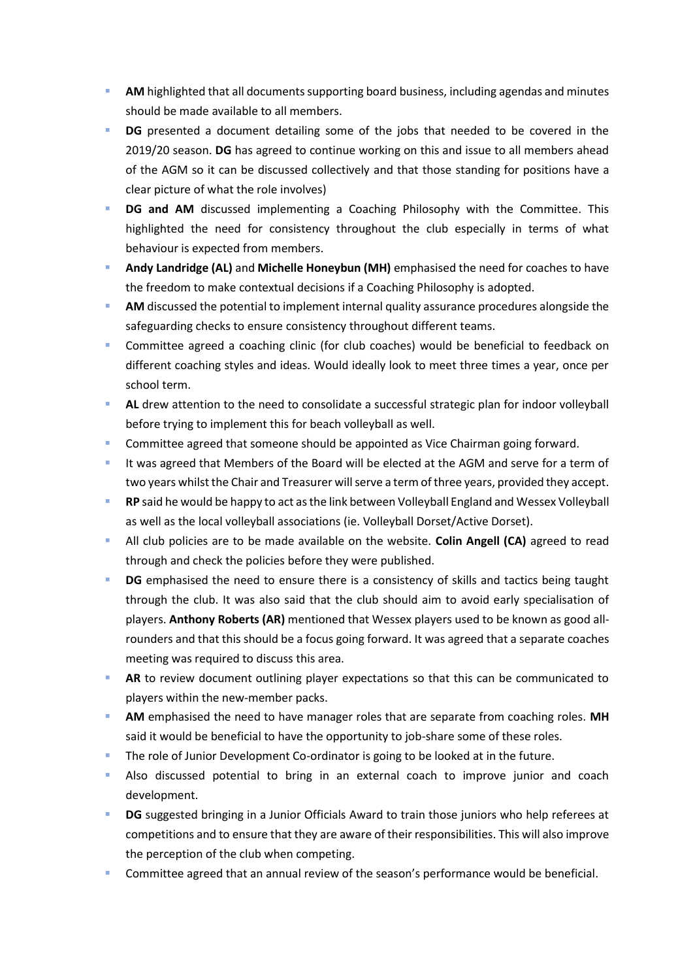- AM highlighted that all documents supporting board business, including agendas and minutes should be made available to all members.
- **DG** presented a document detailing some of the jobs that needed to be covered in the 2019/20 season. **DG** has agreed to continue working on this and issue to all members ahead of the AGM so it can be discussed collectively and that those standing for positions have a clear picture of what the role involves)
- **DG and AM** discussed implementing a Coaching Philosophy with the Committee. This highlighted the need for consistency throughout the club especially in terms of what behaviour is expected from members.
- Andy Landridge (AL) and Michelle Honeybun (MH) emphasised the need for coaches to have the freedom to make contextual decisions if a Coaching Philosophy is adopted.
- AM discussed the potential to implement internal quality assurance procedures alongside the safeguarding checks to ensure consistency throughout different teams.
- Committee agreed a coaching clinic (for club coaches) would be beneficial to feedback on different coaching styles and ideas. Would ideally look to meet three times a year, once per school term.
- AL drew attention to the need to consolidate a successful strategic plan for indoor volleyball before trying to implement this for beach volleyball as well.
- Committee agreed that someone should be appointed as Vice Chairman going forward.
- It was agreed that Members of the Board will be elected at the AGM and serve for a term of two years whilst the Chair and Treasurer will serve a term of three years, provided they accept.
- **RP** said he would be happy to act as the link between Volleyball England and Wessex Volleyball as well as the local volleyball associations (ie. Volleyball Dorset/Active Dorset).
- **E** All club policies are to be made available on the website. **Colin Angell (CA)** agreed to read through and check the policies before they were published.
- **DG** emphasised the need to ensure there is a consistency of skills and tactics being taught through the club. It was also said that the club should aim to avoid early specialisation of players. **Anthony Roberts (AR)** mentioned that Wessex players used to be known as good allrounders and that this should be a focus going forward. It was agreed that a separate coaches meeting was required to discuss this area.
- AR to review document outlining player expectations so that this can be communicated to players within the new-member packs.
- AM emphasised the need to have manager roles that are separate from coaching roles. MH said it would be beneficial to have the opportunity to job-share some of these roles.
- The role of Junior Development Co-ordinator is going to be looked at in the future.
- **E** Also discussed potential to bring in an external coach to improve junior and coach development.
- **DG** suggested bringing in a Junior Officials Award to train those juniors who help referees at competitions and to ensure that they are aware of their responsibilities. This will also improve the perception of the club when competing.
- Committee agreed that an annual review of the season's performance would be beneficial.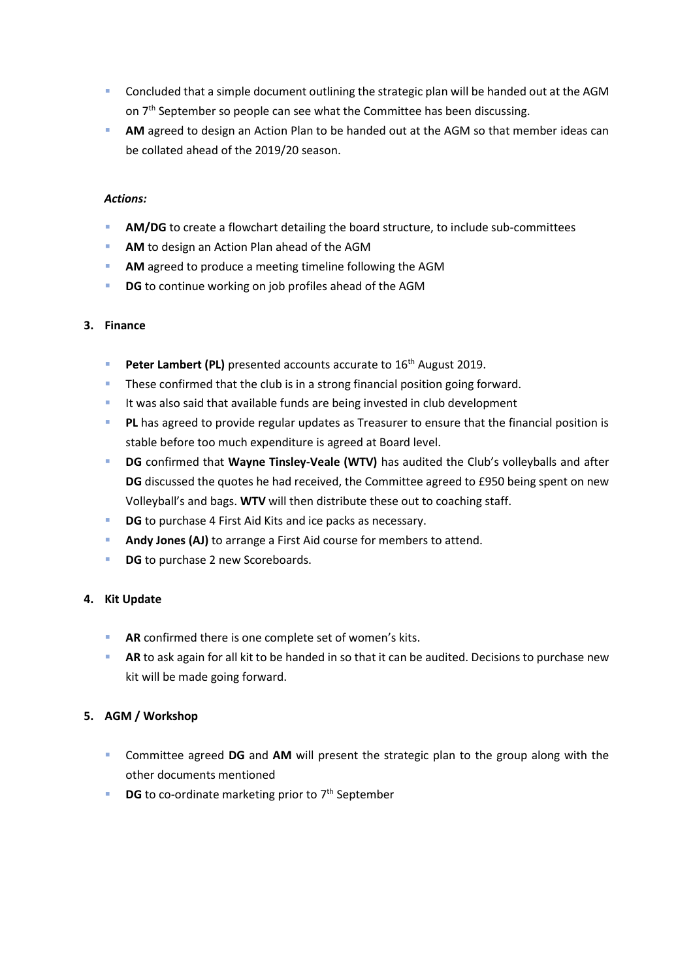- Concluded that a simple document outlining the strategic plan will be handed out at the AGM on 7<sup>th</sup> September so people can see what the Committee has been discussing.
- AM agreed to design an Action Plan to be handed out at the AGM so that member ideas can be collated ahead of the 2019/20 season.

#### *Actions:*

- **AM/DG** to create a flowchart detailing the board structure, to include sub-committees
- AM to design an Action Plan ahead of the AGM
- **EXECUTE:** AM agreed to produce a meeting timeline following the AGM
- **DG** to continue working on job profiles ahead of the AGM

#### **3. Finance**

- Peter Lambert (PL) presented accounts accurate to 16<sup>th</sup> August 2019.
- **These confirmed that the club is in a strong financial position going forward.**
- **E** It was also said that available funds are being invested in club development
- **PL** has agreed to provide regular updates as Treasurer to ensure that the financial position is stable before too much expenditure is agreed at Board level.
- **DG** confirmed that **Wayne Tinsley-Veale (WTV)** has audited the Club's volleyballs and after **DG** discussed the quotes he had received, the Committee agreed to £950 being spent on new Volleyball's and bags. **WTV** will then distribute these out to coaching staff.
- **DG** to purchase 4 First Aid Kits and ice packs as necessary.
- **Andy Jones (AJ)** to arrange a First Aid course for members to attend.
- **DG** to purchase 2 new Scoreboards.

#### **4. Kit Update**

- **AR** confirmed there is one complete set of women's kits.
- **AR** to ask again for all kit to be handed in so that it can be audited. Decisions to purchase new kit will be made going forward.

#### **5. AGM / Workshop**

- Committee agreed **DG** and **AM** will present the strategic plan to the group along with the other documents mentioned
- **DG** to co-ordinate marketing prior to 7<sup>th</sup> September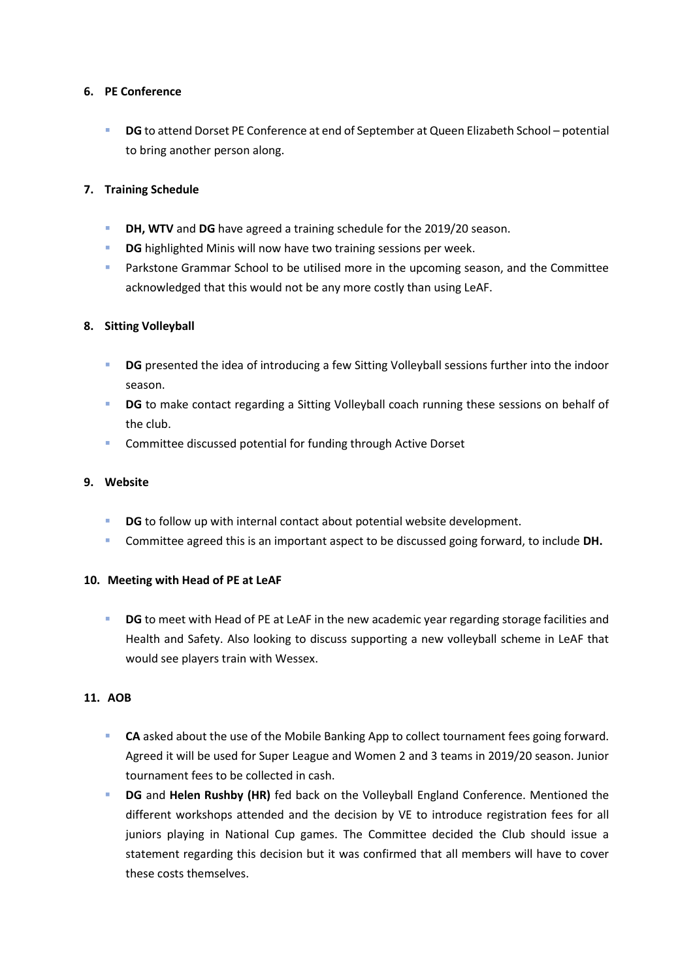#### **6. PE Conference**

**DG** to attend Dorset PE Conference at end of September at Queen Elizabeth School – potential to bring another person along.

#### **7. Training Schedule**

- **DH, WTV** and DG have agreed a training schedule for the 2019/20 season.
- **DG** highlighted Minis will now have two training sessions per week.
- **EXP** Parkstone Grammar School to be utilised more in the upcoming season, and the Committee acknowledged that this would not be any more costly than using LeAF.

#### **8. Sitting Volleyball**

- **DG** presented the idea of introducing a few Sitting Volleyball sessions further into the indoor season.
- **DG** to make contact regarding a Sitting Volleyball coach running these sessions on behalf of the club.
- Committee discussed potential for funding through Active Dorset

#### **9. Website**

- **DG** to follow up with internal contact about potential website development.
- Committee agreed this is an important aspect to be discussed going forward, to include **DH.**

#### **10. Meeting with Head of PE at LeAF**

**• DG** to meet with Head of PE at LeAF in the new academic year regarding storage facilities and Health and Safety. Also looking to discuss supporting a new volleyball scheme in LeAF that would see players train with Wessex.

#### **11. AOB**

- **CA** asked about the use of the Mobile Banking App to collect tournament fees going forward. Agreed it will be used for Super League and Women 2 and 3 teams in 2019/20 season. Junior tournament fees to be collected in cash.
- **DG** and Helen Rushby (HR) fed back on the Volleyball England Conference. Mentioned the different workshops attended and the decision by VE to introduce registration fees for all juniors playing in National Cup games. The Committee decided the Club should issue a statement regarding this decision but it was confirmed that all members will have to cover these costs themselves.